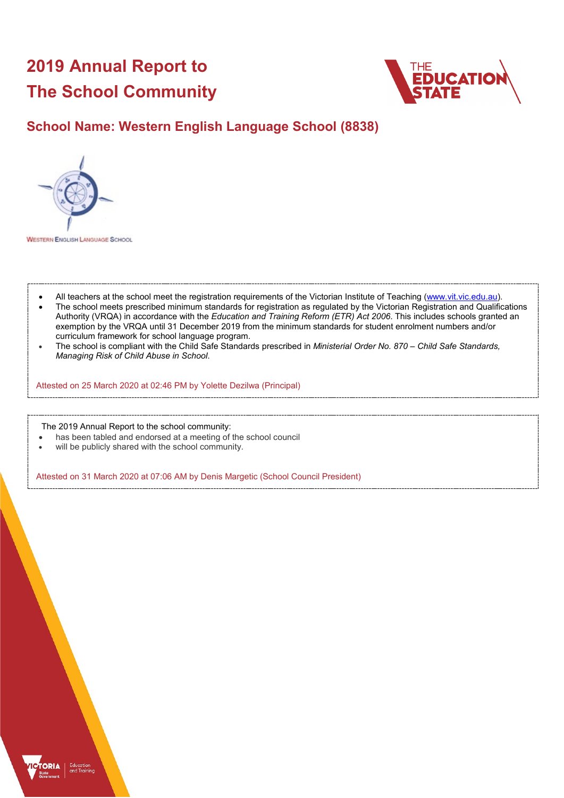# **2019 Annual Report to The School Community**



## **School Name: Western English Language School (8838)**



**WESTERN ENGLISH LANGUAGE SCHOOL** 

- All teachers at the school meet the registration requirements of the Victorian Institute of Teaching [\(www.vit.vic.edu.au\)](https://www.vit.vic.edu.au/).
- The school meets prescribed minimum standards for registration as regulated by the Victorian Registration and Qualifications Authority (VRQA) in accordance with the *Education and Training Reform (ETR) Act 2006*. This includes schools granted an exemption by the VRQA until 31 December 2019 from the minimum standards for student enrolment numbers and/or curriculum framework for school language program.
- The school is compliant with the Child Safe Standards prescribed in *Ministerial Order No. 870 – Child Safe Standards, Managing Risk of Child Abuse in School*.

Attested on 25 March 2020 at 02:46 PM by Yolette Dezilwa (Principal)

The 2019 Annual Report to the school community:

- has been tabled and endorsed at a meeting of the school council
- will be publicly shared with the school community.

Attested on 31 March 2020 at 07:06 AM by Denis Margetic (School Council President)

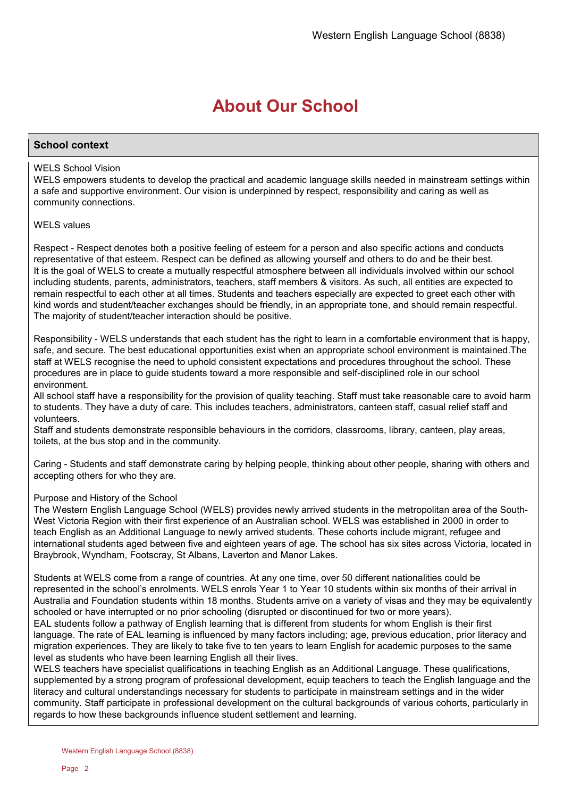# **About Our School**

### **School context**

#### WELS School Vision

WELS empowers students to develop the practical and academic language skills needed in mainstream settings within a safe and supportive environment. Our vision is underpinned by respect, responsibility and caring as well as community connections.

#### WELS values

Respect - Respect denotes both a positive feeling of esteem for a person and also specific actions and conducts representative of that esteem. Respect can be defined as allowing yourself and others to do and be their best. It is the goal of WELS to create a mutually respectful atmosphere between all individuals involved within our school including students, parents, administrators, teachers, staff members & visitors. As such, all entities are expected to remain respectful to each other at all times. Students and teachers especially are expected to greet each other with kind words and student/teacher exchanges should be friendly, in an appropriate tone, and should remain respectful. The majority of student/teacher interaction should be positive.

Responsibility - WELS understands that each student has the right to learn in a comfortable environment that is happy, safe, and secure. The best educational opportunities exist when an appropriate school environment is maintained.The staff at WELS recognise the need to uphold consistent expectations and procedures throughout the school. These procedures are in place to guide students toward a more responsible and self-disciplined role in our school environment.

All school staff have a responsibility for the provision of quality teaching. Staff must take reasonable care to avoid harm to students. They have a duty of care. This includes teachers, administrators, canteen staff, casual relief staff and volunteers.

Staff and students demonstrate responsible behaviours in the corridors, classrooms, library, canteen, play areas, toilets, at the bus stop and in the community.

Caring - Students and staff demonstrate caring by helping people, thinking about other people, sharing with others and accepting others for who they are.

#### Purpose and History of the School

The Western English Language School (WELS) provides newly arrived students in the metropolitan area of the South-West Victoria Region with their first experience of an Australian school. WELS was established in 2000 in order to teach English as an Additional Language to newly arrived students. These cohorts include migrant, refugee and international students aged between five and eighteen years of age. The school has six sites across Victoria, located in Braybrook, Wyndham, Footscray, St Albans, Laverton and Manor Lakes.

Students at WELS come from a range of countries. At any one time, over 50 different nationalities could be represented in the school's enrolments. WELS enrols Year 1 to Year 10 students within six months of their arrival in Australia and Foundation students within 18 months. Students arrive on a variety of visas and they may be equivalently schooled or have interrupted or no prior schooling (disrupted or discontinued for two or more years). EAL students follow a pathway of English learning that is different from students for whom English is their first

language. The rate of EAL learning is influenced by many factors including; age, previous education, prior literacy and migration experiences. They are likely to take five to ten years to learn English for academic purposes to the same level as students who have been learning English all their lives.

WELS teachers have specialist qualifications in teaching English as an Additional Language. These qualifications, supplemented by a strong program of professional development, equip teachers to teach the English language and the literacy and cultural understandings necessary for students to participate in mainstream settings and in the wider community. Staff participate in professional development on the cultural backgrounds of various cohorts, particularly in regards to how these backgrounds influence student settlement and learning.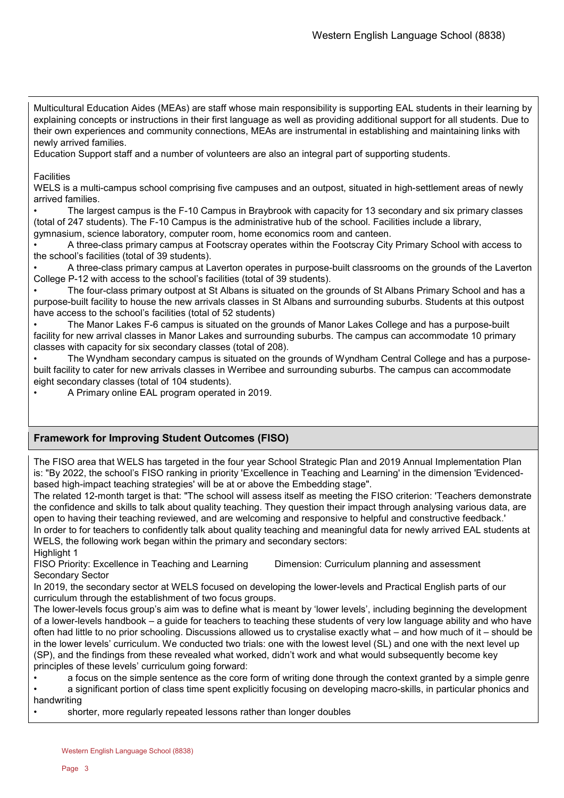Multicultural Education Aides (MEAs) are staff whose main responsibility is supporting EAL students in their learning by explaining concepts or instructions in their first language as well as providing additional support for all students. Due to their own experiences and community connections, MEAs are instrumental in establishing and maintaining links with newly arrived families.

Education Support staff and a number of volunteers are also an integral part of supporting students.

### Facilities

WELS is a multi-campus school comprising five campuses and an outpost, situated in high-settlement areas of newly arrived families.

• The largest campus is the F-10 Campus in Braybrook with capacity for 13 secondary and six primary classes (total of 247 students). The F-10 Campus is the administrative hub of the school. Facilities include a library,

gymnasium, science laboratory, computer room, home economics room and canteen.

• A three-class primary campus at Footscray operates within the Footscray City Primary School with access to the school's facilities (total of 39 students).

• A three-class primary campus at Laverton operates in purpose-built classrooms on the grounds of the Laverton College P-12 with access to the school's facilities (total of 39 students).

• The four-class primary outpost at St Albans is situated on the grounds of St Albans Primary School and has a purpose-built facility to house the new arrivals classes in St Albans and surrounding suburbs. Students at this outpost have access to the school's facilities (total of 52 students)

• The Manor Lakes F-6 campus is situated on the grounds of Manor Lakes College and has a purpose-built facility for new arrival classes in Manor Lakes and surrounding suburbs. The campus can accommodate 10 primary classes with capacity for six secondary classes (total of 208).

• The Wyndham secondary campus is situated on the grounds of Wyndham Central College and has a purposebuilt facility to cater for new arrivals classes in Werribee and surrounding suburbs. The campus can accommodate eight secondary classes (total of 104 students).

• A Primary online EAL program operated in 2019.

## **Framework for Improving Student Outcomes (FISO)**

The FISO area that WELS has targeted in the four year School Strategic Plan and 2019 Annual Implementation Plan is: "By 2022, the school's FISO ranking in priority 'Excellence in Teaching and Learning' in the dimension 'Evidencedbased high-impact teaching strategies' will be at or above the Embedding stage".

The related 12-month target is that: "The school will assess itself as meeting the FISO criterion: 'Teachers demonstrate the confidence and skills to talk about quality teaching. They question their impact through analysing various data, are open to having their teaching reviewed, and are welcoming and responsive to helpful and constructive feedback.' In order to for teachers to confidently talk about quality teaching and meaningful data for newly arrived EAL students at WELS, the following work began within the primary and secondary sectors:

Highlight 1

FISO Priority: Excellence in Teaching and Learning Dimension: Curriculum planning and assessment Secondary Sector

In 2019, the secondary sector at WELS focused on developing the lower-levels and Practical English parts of our curriculum through the establishment of two focus groups.

The lower-levels focus group's aim was to define what is meant by 'lower levels', including beginning the development of a lower-levels handbook – a guide for teachers to teaching these students of very low language ability and who have often had little to no prior schooling. Discussions allowed us to crystalise exactly what – and how much of it – should be in the lower levels' curriculum. We conducted two trials: one with the lowest level (SL) and one with the next level up (SP), and the findings from these revealed what worked, didn't work and what would subsequently become key principles of these levels' curriculum going forward:

• a focus on the simple sentence as the core form of writing done through the context granted by a simple genre

• a significant portion of class time spent explicitly focusing on developing macro-skills, in particular phonics and handwriting

• shorter, more regularly repeated lessons rather than longer doubles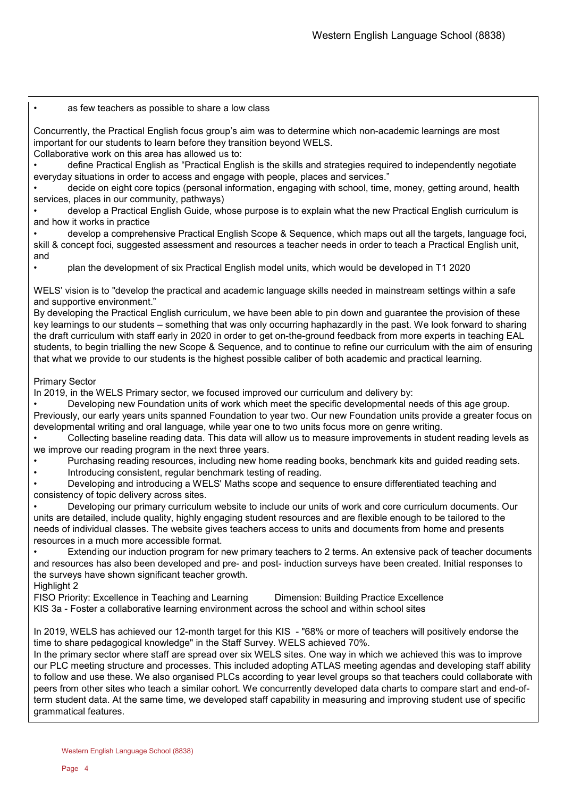#### as few teachers as possible to share a low class

Concurrently, the Practical English focus group's aim was to determine which non-academic learnings are most important for our students to learn before they transition beyond WELS.

Collaborative work on this area has allowed us to:

• define Practical English as "Practical English is the skills and strategies required to independently negotiate everyday situations in order to access and engage with people, places and services."

• decide on eight core topics (personal information, engaging with school, time, money, getting around, health services, places in our community, pathways)

• develop a Practical English Guide, whose purpose is to explain what the new Practical English curriculum is and how it works in practice

• develop a comprehensive Practical English Scope & Sequence, which maps out all the targets, language foci, skill & concept foci, suggested assessment and resources a teacher needs in order to teach a Practical English unit, and

• plan the development of six Practical English model units, which would be developed in T1 2020

WELS' vision is to "develop the practical and academic language skills needed in mainstream settings within a safe and supportive environment."

By developing the Practical English curriculum, we have been able to pin down and guarantee the provision of these key learnings to our students – something that was only occurring haphazardly in the past. We look forward to sharing the draft curriculum with staff early in 2020 in order to get on-the-ground feedback from more experts in teaching EAL students, to begin trialling the new Scope & Sequence, and to continue to refine our curriculum with the aim of ensuring that what we provide to our students is the highest possible caliber of both academic and practical learning.

#### Primary Sector

In 2019, in the WELS Primary sector, we focused improved our curriculum and delivery by:

• Developing new Foundation units of work which meet the specific developmental needs of this age group. Previously, our early years units spanned Foundation to year two. Our new Foundation units provide a greater focus on developmental writing and oral language, while year one to two units focus more on genre writing.

• Collecting baseline reading data. This data will allow us to measure improvements in student reading levels as we improve our reading program in the next three years.

- Purchasing reading resources, including new home reading books, benchmark kits and guided reading sets.
- Introducing consistent, regular benchmark testing of reading.

• Developing and introducing a WELS' Maths scope and sequence to ensure differentiated teaching and consistency of topic delivery across sites.

• Developing our primary curriculum website to include our units of work and core curriculum documents. Our units are detailed, include quality, highly engaging student resources and are flexible enough to be tailored to the needs of individual classes. The website gives teachers access to units and documents from home and presents resources in a much more accessible format.

• Extending our induction program for new primary teachers to 2 terms. An extensive pack of teacher documents and resources has also been developed and pre- and post- induction surveys have been created. Initial responses to the surveys have shown significant teacher growth. Highlight 2

FISO Priority: Excellence in Teaching and Learning Dimension: Building Practice Excellence KIS 3a - Foster a collaborative learning environment across the school and within school sites

In 2019, WELS has achieved our 12-month target for this KIS - "68% or more of teachers will positively endorse the time to share pedagogical knowledge" in the Staff Survey. WELS achieved 70%.

In the primary sector where staff are spread over six WELS sites. One way in which we achieved this was to improve our PLC meeting structure and processes. This included adopting ATLAS meeting agendas and developing staff ability to follow and use these. We also organised PLCs according to year level groups so that teachers could collaborate with peers from other sites who teach a similar cohort. We concurrently developed data charts to compare start and end-ofterm student data. At the same time, we developed staff capability in measuring and improving student use of specific grammatical features.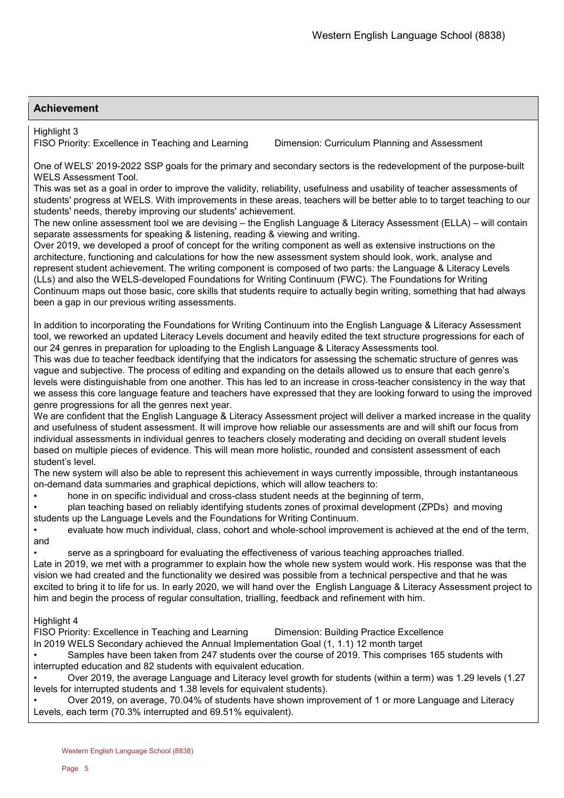## **Achievement**

Highlight 3

FISO Priority: Excellence in Teaching and Learning Dimension: Curriculum Planning and Assessment

One of WELS' 2019-2022 SSP goals for the primary and secondary sectors is the redevelopment of the purpose-built WELS Assessment Tool.

This was set as a goal in order to improve the validity, reliability, usefulness and usability of teacher assessments of students' progress at WELS. With improvements in these areas, teachers will be better able to to target teaching to our students' needs, thereby improving our students' achievement.

The new online assessment tool we are devising – the English Language & Literacy Assessment (ELLA) – will contain separate assessments for speaking & listening, reading & viewing and writing.

Over 2019, we developed a proof of concept for the writing component as well as extensive instructions on the architecture, functioning and calculations for how the new assessment system should look, work, analyse and represent student achievement. The writing component is composed of two parts: the Language & Literacy Levels (LLs) and also the WELS-developed Foundations for Writing Continuum (FWC). The Foundations for Writing Continuum maps out those basic, core skills that students require to actually begin writing, something that had always been a gap in our previous writing assessments.

In addition to incorporating the Foundations for Writing Continuum into the English Language & Literacy Assessment tool, we reworked an updated Literacy Levels document and heavily edited the text structure progressions for each of our 24 genres in preparation for uploading to the English Language & Literacy Assessments tool.

This was due to teacher feedback identifying that the indicators for assessing the schematic structure of genres was vague and subjective. The process of editing and expanding on the details allowed us to ensure that each genre's levels were distinguishable from one another. This has led to an increase in cross-teacher consistency in the way that we assess this core language feature and teachers have expressed that they are looking forward to using the improved genre progressions for all the genres next year.

We are confident that the English Language & Literacy Assessment project will deliver a marked increase in the quality and usefulness of student assessment. It will improve how reliable our assessments are and will shift our focus from individual assessments in individual genres to teachers closely moderating and deciding on overall student levels based on multiple pieces of evidence. This will mean more holistic, rounded and consistent assessment of each student's level.

The new system will also be able to represent this achievement in ways currently impossible, through instantaneous on-demand data summaries and graphical depictions, which will allow teachers to:

• hone in on specific individual and cross-class student needs at the beginning of term,

• plan teaching based on reliably identifying students zones of proximal development (ZPDs) and moving students up the Language Levels and the Foundations for Writing Continuum.

• evaluate how much individual, class, cohort and whole-school improvement is achieved at the end of the term, and

• serve as a springboard for evaluating the effectiveness of various teaching approaches trialled.

Late in 2019, we met with a programmer to explain how the whole new system would work. His response was that the vision we had created and the functionality we desired was possible from a technical perspective and that he was excited to bring it to life for us. In early 2020, we will hand over the English Language & Literacy Assessment project to him and begin the process of regular consultation, trialling, feedback and refinement with him.

## Highlight 4

FISO Priority: Excellence in Teaching and Learning Dimension: Building Practice Excellence

In 2019 WELS Secondary achieved the Annual Implementation Goal (1, 1.1) 12 month target

• Samples have been taken from 247 students over the course of 2019. This comprises 165 students with interrupted education and 82 students with equivalent education.

• Over 2019, the average Language and Literacy level growth for students (within a term) was 1.29 levels (1.27 levels for interrupted students and 1.38 levels for equivalent students).

• Over 2019, on average, 70.04% of students have shown improvement of 1 or more Language and Literacy Levels, each term (70.3% interrupted and 69.51% equivalent).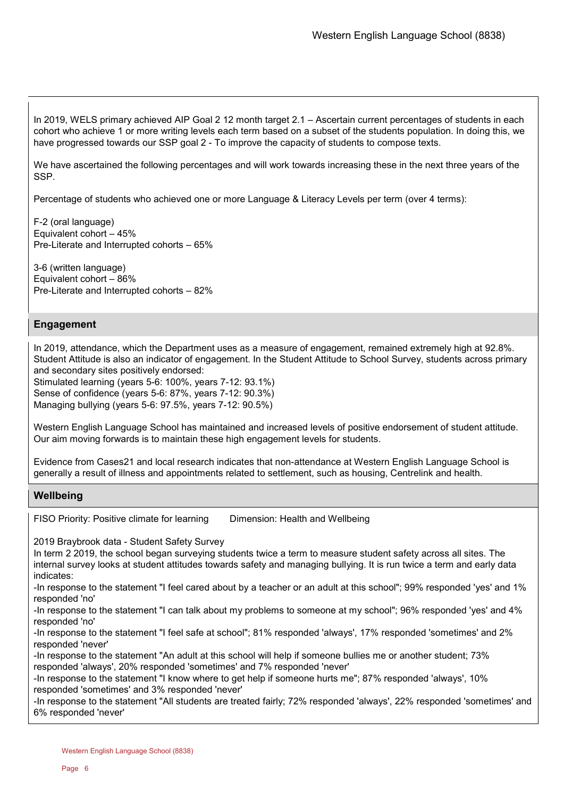In 2019, WELS primary achieved AIP Goal 2 12 month target 2.1 – Ascertain current percentages of students in each cohort who achieve 1 or more writing levels each term based on a subset of the students population. In doing this, we have progressed towards our SSP goal 2 - To improve the capacity of students to compose texts.

We have ascertained the following percentages and will work towards increasing these in the next three years of the SSP.

Percentage of students who achieved one or more Language & Literacy Levels per term (over 4 terms):

F-2 (oral language) Equivalent cohort – 45% Pre-Literate and Interrupted cohorts – 65%

3-6 (written language) Equivalent cohort – 86% Pre-Literate and Interrupted cohorts – 82%

## **Engagement**

In 2019, attendance, which the Department uses as a measure of engagement, remained extremely high at 92.8%. Student Attitude is also an indicator of engagement. In the Student Attitude to School Survey, students across primary and secondary sites positively endorsed:

Stimulated learning (years 5-6: 100%, years 7-12: 93.1%) Sense of confidence (years 5-6: 87%, years 7-12: 90.3%) Managing bullying (years 5-6: 97.5%, years 7-12: 90.5%)

Western English Language School has maintained and increased levels of positive endorsement of student attitude. Our aim moving forwards is to maintain these high engagement levels for students.

Evidence from Cases21 and local research indicates that non-attendance at Western English Language School is generally a result of illness and appointments related to settlement, such as housing, Centrelink and health.

## **Wellbeing**

FISO Priority: Positive climate for learning Dimension: Health and Wellbeing

2019 Braybrook data - Student Safety Survey

In term 2 2019, the school began surveying students twice a term to measure student safety across all sites. The internal survey looks at student attitudes towards safety and managing bullying. It is run twice a term and early data indicates:

-In response to the statement "I feel cared about by a teacher or an adult at this school"; 99% responded 'yes' and 1% responded 'no'

-In response to the statement "I can talk about my problems to someone at my school"; 96% responded 'yes' and 4% responded 'no'

-In response to the statement "I feel safe at school"; 81% responded 'always', 17% responded 'sometimes' and 2% responded 'never'

-In response to the statement "An adult at this school will help if someone bullies me or another student; 73% responded 'always', 20% responded 'sometimes' and 7% responded 'never'

-In response to the statement "I know where to get help if someone hurts me"; 87% responded 'always', 10% responded 'sometimes' and 3% responded 'never'

-In response to the statement "All students are treated fairly; 72% responded 'always', 22% responded 'sometimes' and 6% responded 'never'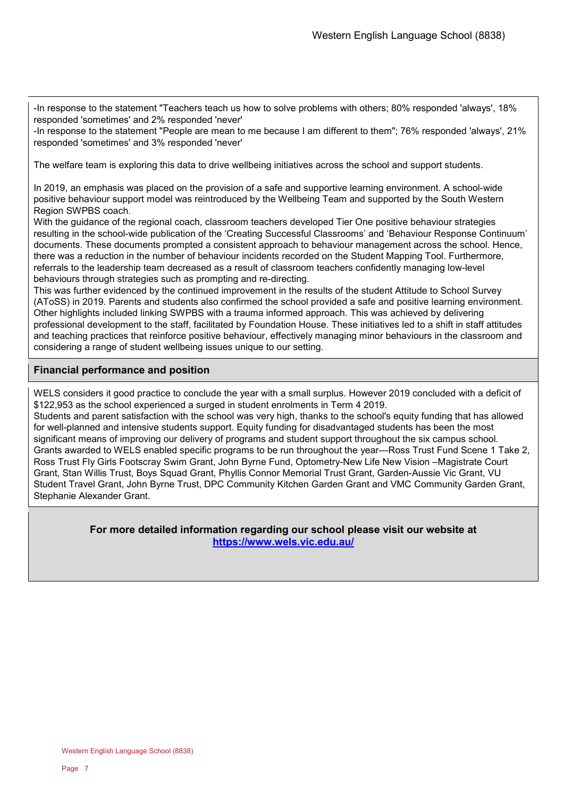-In response to the statement "Teachers teach us how to solve problems with others; 80% responded 'always', 18% responded 'sometimes' and 2% responded 'never'

-In response to the statement "People are mean to me because I am different to them"; 76% responded 'always', 21% responded 'sometimes' and 3% responded 'never'

The welfare team is exploring this data to drive wellbeing initiatives across the school and support students.

In 2019, an emphasis was placed on the provision of a safe and supportive learning environment. A school-wide positive behaviour support model was reintroduced by the Wellbeing Team and supported by the South Western Region SWPBS coach.

With the guidance of the regional coach, classroom teachers developed Tier One positive behaviour strategies resulting in the school-wide publication of the 'Creating Successful Classrooms' and 'Behaviour Response Continuum' documents. These documents prompted a consistent approach to behaviour management across the school. Hence, there was a reduction in the number of behaviour incidents recorded on the Student Mapping Tool. Furthermore, referrals to the leadership team decreased as a result of classroom teachers confidently managing low-level behaviours through strategies such as prompting and re-directing.

This was further evidenced by the continued improvement in the results of the student Attitude to School Survey (AToSS) in 2019. Parents and students also confirmed the school provided a safe and positive learning environment. Other highlights included linking SWPBS with a trauma informed approach. This was achieved by delivering professional development to the staff, facilitated by Foundation House. These initiatives led to a shift in staff attitudes and teaching practices that reinforce positive behaviour, effectively managing minor behaviours in the classroom and considering a range of student wellbeing issues unique to our setting.

### **Financial performance and position**

WELS considers it good practice to conclude the year with a small surplus. However 2019 concluded with a deficit of \$122,953 as the school experienced a surged in student enrolments in Term 4 2019.

Students and parent satisfaction with the school was very high, thanks to the school's equity funding that has allowed for well-planned and intensive students support. Equity funding for disadvantaged students has been the most significant means of improving our delivery of programs and student support throughout the six campus school. Grants awarded to WELS enabled specific programs to be run throughout the year---Ross Trust Fund Scene 1 Take 2, Ross Trust Fly Girls Footscray Swim Grant, John Byrne Fund, Optometry-New Life New Vision –Magistrate Court Grant, Stan Willis Trust, Boys Squad Grant, Phyllis Connor Memorial Trust Grant, Garden-Aussie Vic Grant, VU Student Travel Grant, John Byrne Trust, DPC Community Kitchen Garden Grant and VMC Community Garden Grant, Stephanie Alexander Grant.

> **For more detailed information regarding our school please visit our website at <https://www.wels.vic.edu.au/>**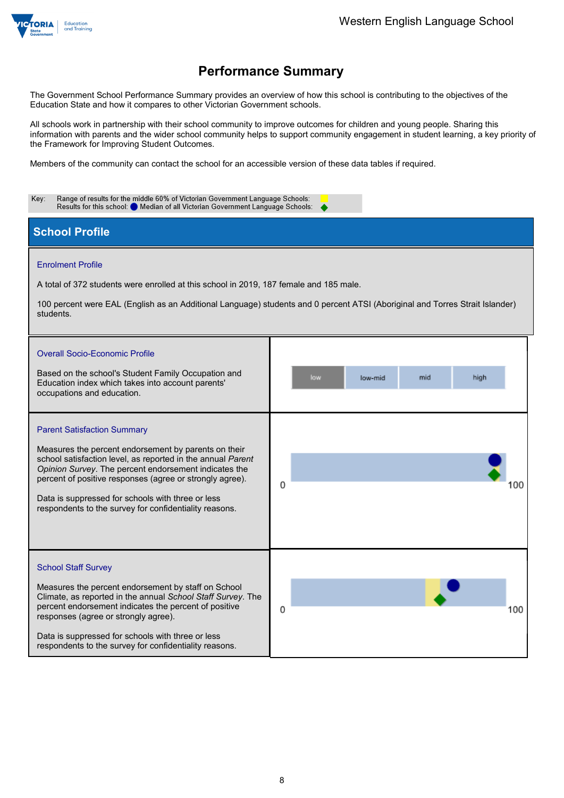

## **Performance Summary**

The Government School Performance Summary provides an overview of how this school is contributing to the objectives of the Education State and how it compares to other Victorian Government schools.

All schools work in partnership with their school community to improve outcomes for children and young people. Sharing this information with parents and the wider school community helps to support community engagement in student learning, a key priority of the Framework for Improving Student Outcomes.

Members of the community can contact the school for an accessible version of these data tables if required.

| Range of results for the middle 60% of Victorian Government Language Schools:<br>Key:<br>Results for this school: O Median of all Victorian Government Language Schools:                                                                                                                                                                                                                      |                               |  |  |  |
|-----------------------------------------------------------------------------------------------------------------------------------------------------------------------------------------------------------------------------------------------------------------------------------------------------------------------------------------------------------------------------------------------|-------------------------------|--|--|--|
| <b>School Profile</b>                                                                                                                                                                                                                                                                                                                                                                         |                               |  |  |  |
| <b>Enrolment Profile</b><br>A total of 372 students were enrolled at this school in 2019, 187 female and 185 male.<br>100 percent were EAL (English as an Additional Language) students and 0 percent ATSI (Aboriginal and Torres Strait Islander)<br>students.                                                                                                                               |                               |  |  |  |
| <b>Overall Socio-Economic Profile</b><br>Based on the school's Student Family Occupation and<br>Education index which takes into account parents'<br>occupations and education.                                                                                                                                                                                                               | low<br>mid<br>low-mid<br>high |  |  |  |
| <b>Parent Satisfaction Summary</b><br>Measures the percent endorsement by parents on their<br>school satisfaction level, as reported in the annual Parent<br>Opinion Survey. The percent endorsement indicates the<br>percent of positive responses (agree or strongly agree).<br>Data is suppressed for schools with three or less<br>respondents to the survey for confidentiality reasons. | 0<br>100                      |  |  |  |
| <b>School Staff Survey</b><br>Measures the percent endorsement by staff on School<br>Climate, as reported in the annual School Staff Survey. The<br>percent endorsement indicates the percent of positive<br>responses (agree or strongly agree).<br>Data is suppressed for schools with three or less<br>respondents to the survey for confidentiality reasons.                              | 100<br>0                      |  |  |  |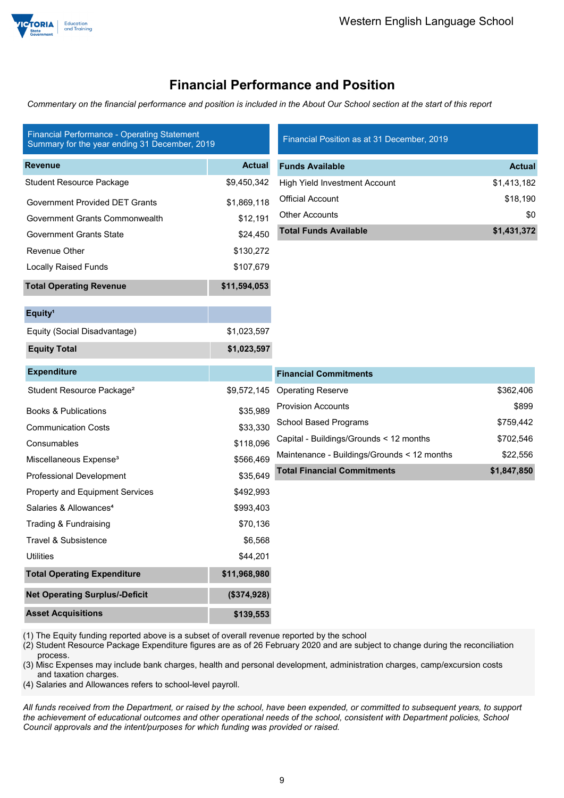

## **Financial Performance and Position**

*Commentary on the financial performance and position is included in the About Our School section at the start of this report*

| <b>Financial Performance - Operating Statement</b><br>Summary for the year ending 31 December, 2019 |               | Financial Position as at 31 December, 2019  |               |
|-----------------------------------------------------------------------------------------------------|---------------|---------------------------------------------|---------------|
| <b>Revenue</b>                                                                                      | <b>Actual</b> | <b>Funds Available</b>                      | <b>Actual</b> |
| <b>Student Resource Package</b>                                                                     | \$9,450,342   | <b>High Yield Investment Account</b>        | \$1,413,182   |
| Government Provided DET Grants                                                                      | \$1,869,118   | <b>Official Account</b>                     | \$18,190      |
| Government Grants Commonwealth                                                                      | \$12,191      | <b>Other Accounts</b>                       | \$0           |
| <b>Government Grants State</b>                                                                      | \$24,450      | <b>Total Funds Available</b>                | \$1,431,372   |
| Revenue Other                                                                                       | \$130,272     |                                             |               |
| <b>Locally Raised Funds</b>                                                                         | \$107,679     |                                             |               |
| <b>Total Operating Revenue</b>                                                                      | \$11,594,053  |                                             |               |
| Equity <sup>1</sup>                                                                                 |               |                                             |               |
| Equity (Social Disadvantage)                                                                        | \$1,023,597   |                                             |               |
| <b>Equity Total</b>                                                                                 | \$1,023,597   |                                             |               |
| <b>Expenditure</b>                                                                                  |               | <b>Financial Commitments</b>                |               |
| Student Resource Package <sup>2</sup>                                                               | \$9,572,145   | <b>Operating Reserve</b>                    | \$362,406     |
| <b>Books &amp; Publications</b>                                                                     | \$35,989      | <b>Provision Accounts</b>                   | \$899         |
| <b>Communication Costs</b>                                                                          | \$33,330      | School Based Programs                       | \$759,442     |
| Consumables                                                                                         | \$118,096     | Capital - Buildings/Grounds < 12 months     | \$702,546     |
| Miscellaneous Expense <sup>3</sup>                                                                  | \$566,469     | Maintenance - Buildings/Grounds < 12 months | \$22,556      |
| <b>Professional Development</b>                                                                     | \$35,649      | <b>Total Financial Commitments</b>          | \$1,847,850   |
| <b>Property and Equipment Services</b>                                                              | \$492,993     |                                             |               |
| Salaries & Allowances <sup>4</sup>                                                                  | \$993,403     |                                             |               |
| Trading & Fundraising                                                                               | \$70,136      |                                             |               |
| Travel & Subsistence                                                                                | \$6,568       |                                             |               |
| <b>Utilities</b>                                                                                    | \$44,201      |                                             |               |
| <b>Total Operating Expenditure</b>                                                                  | \$11,968,980  |                                             |               |
| <b>Net Operating Surplus/-Deficit</b>                                                               | (\$374,928)   |                                             |               |
| <b>Asset Acquisitions</b>                                                                           | \$139,553     |                                             |               |

(1) The Equity funding reported above is a subset of overall revenue reported by the school

(2) Student Resource Package Expenditure figures are as of 26 February 2020 and are subject to change during the reconciliation process.

(3) Misc Expenses may include bank charges, health and personal development, administration charges, camp/excursion costs and taxation charges.

(4) Salaries and Allowances refers to school-level payroll.

*All funds received from the Department, or raised by the school, have been expended, or committed to subsequent years, to support the achievement of educational outcomes and other operational needs of the school, consistent with Department policies, School Council approvals and the intent/purposes for which funding was provided or raised.*